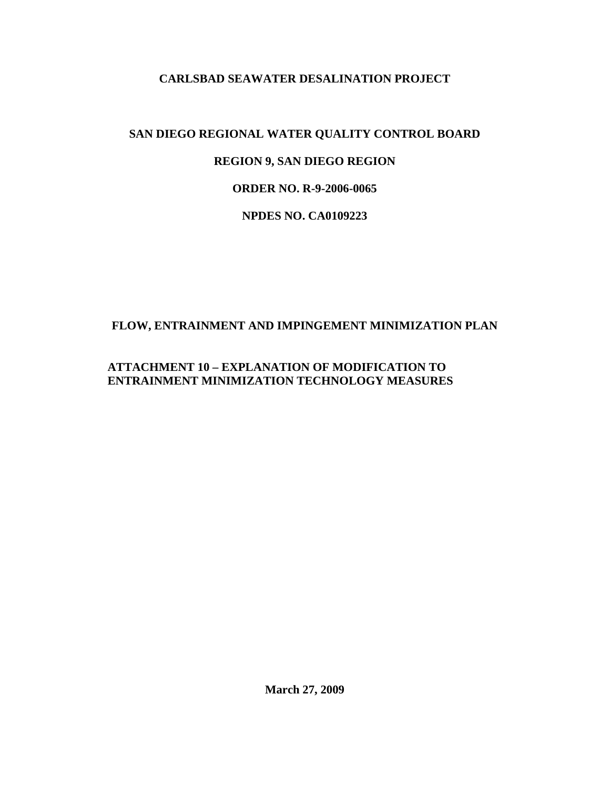## **CARLSBAD SEAWATER DESALINATION PROJECT**

# **SAN DIEGO REGIONAL WATER QUALITY CONTROL BOARD REGION 9, SAN DIEGO REGION ORDER NO. R-9-2006-0065 NPDES NO. CA0109223**

# **FLOW, ENTRAINMENT AND IMPINGEMENT MINIMIZATION PLAN**

## **ATTACHMENT 10 – EXPLANATION OF MODIFICATION TO ENTRAINMENT MINIMIZATION TECHNOLOGY MEASURES**

**March 27, 2009**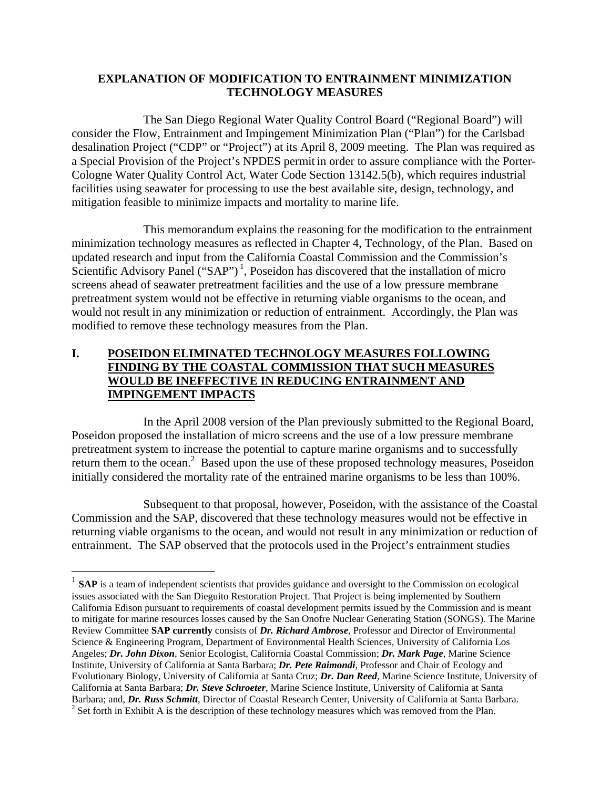#### **EXPLANATION OF MODIFICATION TO ENTRAINMENT MINIMIZATION TECHNOLOGY MEASURES**

The San Diego Regional Water Quality Control Board ("Regional Board") will consider the Flow, Entrainment and Impingement Minimization Plan ("Plan") for the Carlsbad desalination Project ("CDP" or "Project") at its April 8, 2009 meeting. The Plan was required as a Special Provision of the Project's NPDES permit in order to assure compliance with the Porter-Cologne Water Quality Control Act, Water Code Section 13142.5(b), which requires industrial facilities using seawater for processing to use the best available site, design, technology, and mitigation feasible to minimize impacts and mortality to marine life.

This memorandum explains the reasoning for the modification to the entrainment minimization technology measures as reflected in Chapter 4, Technology, of the Plan. Based on updated research and input from the California Coastal Commission and the Commission's Scientific Advisory Panel ("SAP")<sup>1</sup>, Poseidon has discovered that the installation of micro screens ahead of seawater pretreatment facilities and the use of a low pressure membrane pretreatment system would not be effective in returning viable organisms to the ocean, and would not result in any minimization or reduction of entrainment. Accordingly, the Plan was modified to remove these technology measures from the Plan.

#### **I. POSEIDON ELIMINATED TECHNOLOGY MEASURES FOLLOWING FINDING BY THE COASTAL COMMISSION THAT SUCH MEASURES WOULD BE INEFFECTIVE IN REDUCING ENTRAINMENT AND IMPINGEMENT IMPACTS**

In the April 2008 version of the Plan previously submitted to the Regional Board, Poseidon proposed the installation of micro screens and the use of a low pressure membrane pretreatment system to increase the potential to capture marine organisms and to successfully return them to the ocean.<sup>2</sup> Based upon the use of these proposed technology measures, Poseidon initially considered the mortality rate of the entrained marine organisms to be less than 100%.

Subsequent to that proposal, however, Poseidon, with the assistance of the Coastal Commission and the SAP, discovered that these technology measures would not be effective in returning viable organisms to the ocean, and would not result in any minimization or reduction of entrainment. The SAP observed that the protocols used in the Project's entrainment studies

 $\overline{a}$ 

<sup>&</sup>lt;sup>1</sup> **SAP** is a team of independent scientists that provides guidance and oversight to the Commission on ecological issues associated with the San Dieguito Restoration Project. That Project is being implemented by Southern California Edison pursuant to requirements of coastal development permits issued by the Commission and is meant to mitigate for marine resources losses caused by the San Onofre Nuclear Generating Station (SONGS). The Marine Review Committee **SAP currently** consists of *Dr. Richard Ambrose*, Professor and Director of Environmental Science & Engineering Program, Department of Environmental Health Sciences, University of California Los Angeles; *Dr. John Dixon*, Senior Ecologist, California Coastal Commission; *Dr. Mark Page*, Marine Science Institute, University of California at Santa Barbara; *Dr. Pete Raimondi*, Professor and Chair of Ecology and Evolutionary Biology, University of California at Santa Cruz; *Dr. Dan Reed*, Marine Science Institute, University of California at Santa Barbara; *Dr. Steve Schroeter*, Marine Science Institute, University of California at Santa Barbara; and, *Dr. Russ Schmitt*, Director of Coastal Research Center, University of California at Santa Barbara. <sup>2</sup>  $<sup>2</sup>$  Set forth in Exhibit A is the description of these technology measures which was removed from the Plan.</sup>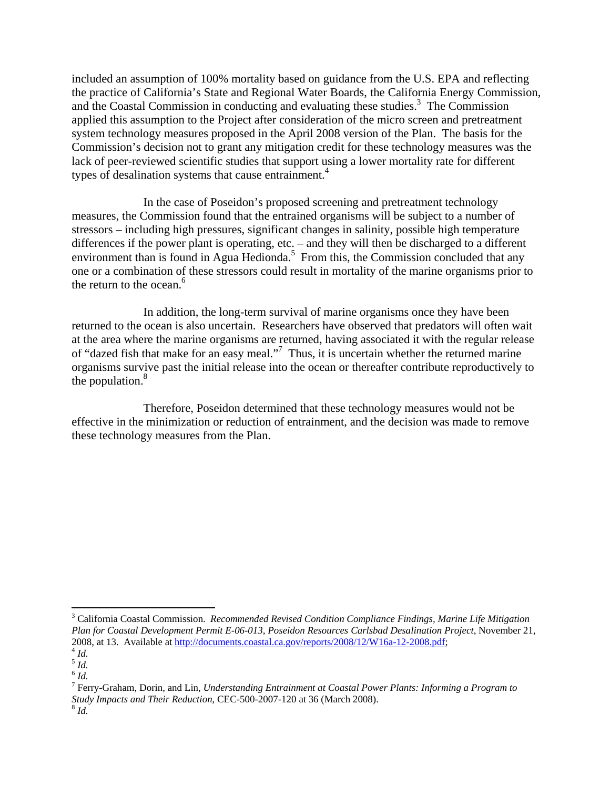included an assumption of 100% mortality based on guidance from the U.S. EPA and reflecting the practice of California's State and Regional Water Boards, the California Energy Commission, and the Coastal Commission in conducting and evaluating these studies.<sup>3</sup> The Commission applied this assumption to the Project after consideration of the micro screen and pretreatment system technology measures proposed in the April 2008 version of the Plan. The basis for the Commission's decision not to grant any mitigation credit for these technology measures was the lack of peer-reviewed scientific studies that support using a lower mortality rate for different types of desalination systems that cause entrainment.<sup>4</sup>

In the case of Poseidon's proposed screening and pretreatment technology measures, the Commission found that the entrained organisms will be subject to a number of stressors – including high pressures, significant changes in salinity, possible high temperature differences if the power plant is operating, etc. – and they will then be discharged to a different environment than is found in Agua Hedionda.<sup>5</sup> From this, the Commission concluded that any one or a combination of these stressors could result in mortality of the marine organisms prior to the return to the ocean.<sup>6</sup>

In addition, the long-term survival of marine organisms once they have been returned to the ocean is also uncertain. Researchers have observed that predators will often wait at the area where the marine organisms are returned, having associated it with the regular release of "dazed fish that make for an easy meal."<sup>7</sup> Thus, it is uncertain whether the returned marine organisms survive past the initial release into the ocean or thereafter contribute reproductively to the population. $8$ 

Therefore, Poseidon determined that these technology measures would not be effective in the minimization or reduction of entrainment, and the decision was made to remove these technology measures from the Plan.

 $\overline{a}$ 3 California Coastal Commission. *Recommended Revised Condition Compliance Findings, Marine Life Mitigation Plan for Coastal Development Permit E-06-013, Poseidon Resources Carlsbad Desalination Project*, November 21, 2008, at 13. Available at http://documents.coastal.ca.gov/reports/2008/12/W16a-12-2008.pdf; <sup>4</sup> *Id.*

<sup>5</sup> *Id.*  $^6$   $\mathit{Id}.$ 

<sup>7</sup> Ferry-Graham, Dorin, and Lin, *Understanding Entrainment at Coastal Power Plants: Informing a Program to Study Impacts and Their Reduction*, CEC-500-2007-120 at 36 (March 2008). 8 *Id.*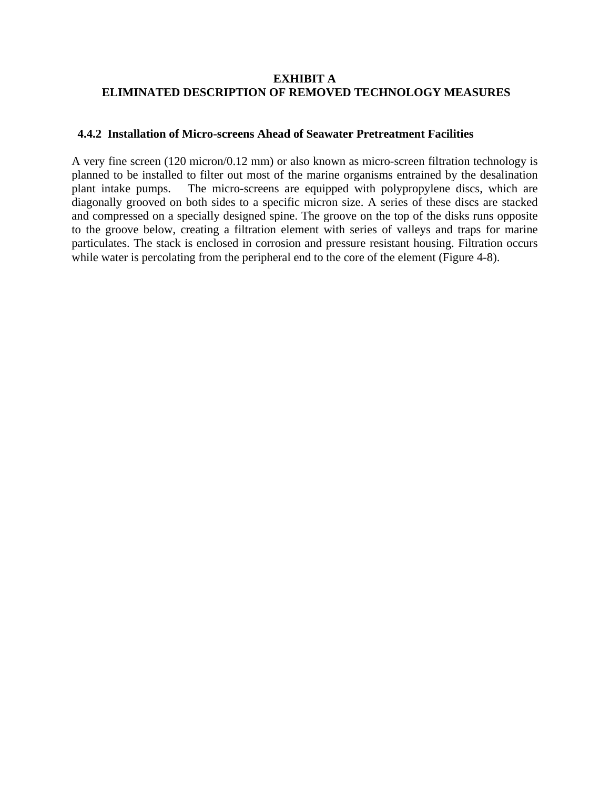#### **EXHIBIT A ELIMINATED DESCRIPTION OF REMOVED TECHNOLOGY MEASURES**

#### **4.4.2 Installation of Micro-screens Ahead of Seawater Pretreatment Facilities**

A very fine screen (120 micron/0.12 mm) or also known as micro-screen filtration technology is planned to be installed to filter out most of the marine organisms entrained by the desalination plant intake pumps. The micro-screens are equipped with polypropylene discs, which are diagonally grooved on both sides to a specific micron size. A series of these discs are stacked and compressed on a specially designed spine. The groove on the top of the disks runs opposite to the groove below, creating a filtration element with series of valleys and traps for marine particulates. The stack is enclosed in corrosion and pressure resistant housing. Filtration occurs while water is percolating from the peripheral end to the core of the element (Figure 4-8).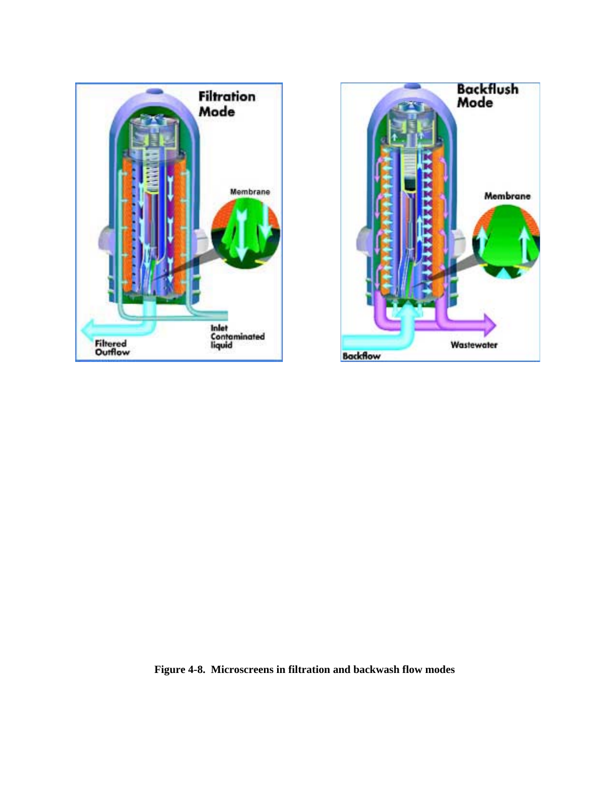



**Figure 4-8. Microscreens in filtration and backwash flow modes**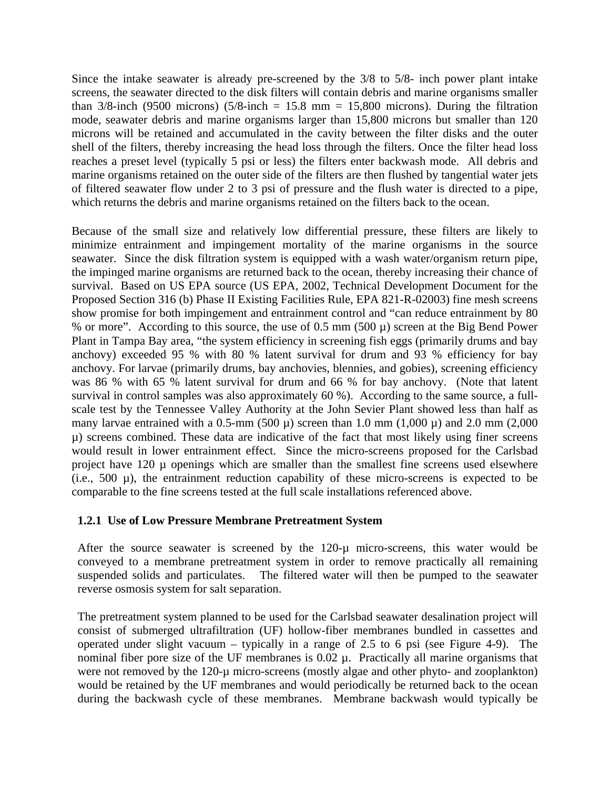Since the intake seawater is already pre-screened by the 3/8 to 5/8- inch power plant intake screens, the seawater directed to the disk filters will contain debris and marine organisms smaller than  $3/8$ -inch (9500 microns) (5/8-inch = 15.8 mm = 15,800 microns). During the filtration mode, seawater debris and marine organisms larger than 15,800 microns but smaller than 120 microns will be retained and accumulated in the cavity between the filter disks and the outer shell of the filters, thereby increasing the head loss through the filters. Once the filter head loss reaches a preset level (typically 5 psi or less) the filters enter backwash mode. All debris and marine organisms retained on the outer side of the filters are then flushed by tangential water jets of filtered seawater flow under 2 to 3 psi of pressure and the flush water is directed to a pipe, which returns the debris and marine organisms retained on the filters back to the ocean.

Because of the small size and relatively low differential pressure, these filters are likely to minimize entrainment and impingement mortality of the marine organisms in the source seawater. Since the disk filtration system is equipped with a wash water/organism return pipe, the impinged marine organisms are returned back to the ocean, thereby increasing their chance of survival. Based on US EPA source (US EPA, 2002, Technical Development Document for the Proposed Section 316 (b) Phase II Existing Facilities Rule, EPA 821-R-02003) fine mesh screens show promise for both impingement and entrainment control and "can reduce entrainment by 80 % or more". According to this source, the use of  $0.5$  mm (500  $\mu$ ) screen at the Big Bend Power Plant in Tampa Bay area, "the system efficiency in screening fish eggs (primarily drums and bay anchovy) exceeded 95 % with 80 % latent survival for drum and 93 % efficiency for bay anchovy. For larvae (primarily drums, bay anchovies, blennies, and gobies), screening efficiency was 86 % with 65 % latent survival for drum and 66 % for bay anchovy. (Note that latent survival in control samples was also approximately 60 %). According to the same source, a fullscale test by the Tennessee Valley Authority at the John Sevier Plant showed less than half as many larvae entrained with a 0.5-mm (500  $\mu$ ) screen than 1.0 mm (1,000  $\mu$ ) and 2.0 mm (2,000 µ) screens combined. These data are indicative of the fact that most likely using finer screens would result in lower entrainment effect. Since the micro-screens proposed for the Carlsbad project have 120  $\mu$  openings which are smaller than the smallest fine screens used elsewhere (i.e.,  $500 \mu$ ), the entrainment reduction capability of these micro-screens is expected to be comparable to the fine screens tested at the full scale installations referenced above.

#### **1.2.1 Use of Low Pressure Membrane Pretreatment System**

After the source seawater is screened by the 120-µ micro-screens, this water would be conveyed to a membrane pretreatment system in order to remove practically all remaining suspended solids and particulates. The filtered water will then be pumped to the seawater reverse osmosis system for salt separation.

The pretreatment system planned to be used for the Carlsbad seawater desalination project will consist of submerged ultrafiltration (UF) hollow-fiber membranes bundled in cassettes and operated under slight vacuum – typically in a range of 2.5 to 6 psi (see Figure 4-9). The nominal fiber pore size of the UF membranes is  $0.02 \mu$ . Practically all marine organisms that were not removed by the 120-µ micro-screens (mostly algae and other phyto- and zooplankton) would be retained by the UF membranes and would periodically be returned back to the ocean during the backwash cycle of these membranes. Membrane backwash would typically be